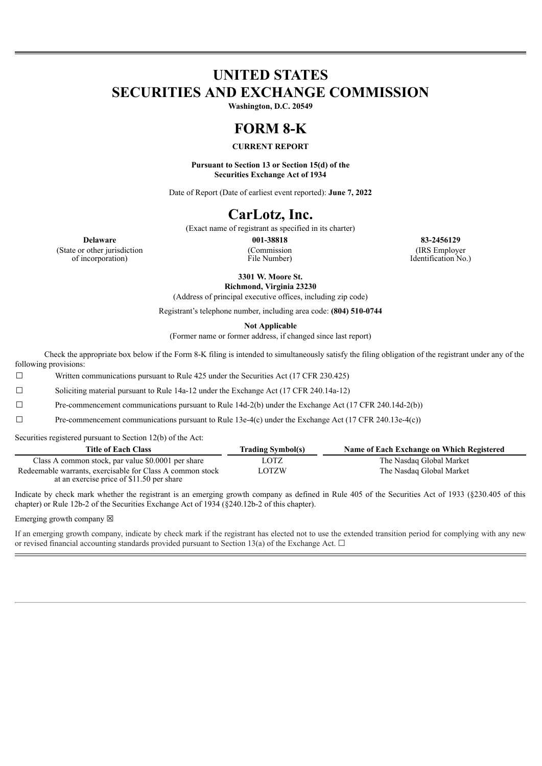# **UNITED STATES SECURITIES AND EXCHANGE COMMISSION**

**Washington, D.C. 20549**

### **FORM 8-K**

### **CURRENT REPORT**

**Pursuant to Section 13 or Section 15(d) of the Securities Exchange Act of 1934**

Date of Report (Date of earliest event reported): **June 7, 2022**

## **CarLotz, Inc.**

(Exact name of registrant as specified in its charter)

**Delaware 001-38818 83-2456129** (State or other jurisdiction of incorporation)

(Commission File Number)

(IRS Employer Identification No.)

**3301 W. Moore St. Richmond, Virginia 23230**

(Address of principal executive offices, including zip code)

Registrant's telephone number, including area code: **(804) 510-0744**

**Not Applicable**

(Former name or former address, if changed since last report)

Check the appropriate box below if the Form 8-K filing is intended to simultaneously satisfy the filing obligation of the registrant under any of the following provisions:

 $\Box$  Written communications pursuant to Rule 425 under the Securities Act (17 CFR 230.425)

☐ Soliciting material pursuant to Rule 14a-12 under the Exchange Act (17 CFR 240.14a-12)

☐ Pre-commencement communications pursuant to Rule 14d-2(b) under the Exchange Act (17 CFR 240.14d-2(b))

☐ Pre-commencement communications pursuant to Rule 13e-4(c) under the Exchange Act (17 CFR 240.13e-4(c))

Securities registered pursuant to Section 12(b) of the Act:

| <b>Title of Each Class</b>                                                                             | <b>Trading Symbol(s)</b> | Name of Each Exchange on Which Registered |
|--------------------------------------------------------------------------------------------------------|--------------------------|-------------------------------------------|
| Class A common stock, par value \$0.0001 per share                                                     | LOTZ                     | The Nasdaq Global Market                  |
| Redeemable warrants, exercisable for Class A common stock<br>at an exercise price of \$11.50 per share | <b>LOTZW</b>             | The Nasdaq Global Market                  |

Indicate by check mark whether the registrant is an emerging growth company as defined in Rule 405 of the Securities Act of 1933 (§230.405 of this chapter) or Rule 12b-2 of the Securities Exchange Act of 1934 (§240.12b-2 of this chapter).

Emerging growth company  $\boxtimes$ 

If an emerging growth company, indicate by check mark if the registrant has elected not to use the extended transition period for complying with any new or revised financial accounting standards provided pursuant to Section 13(a) of the Exchange Act.  $\Box$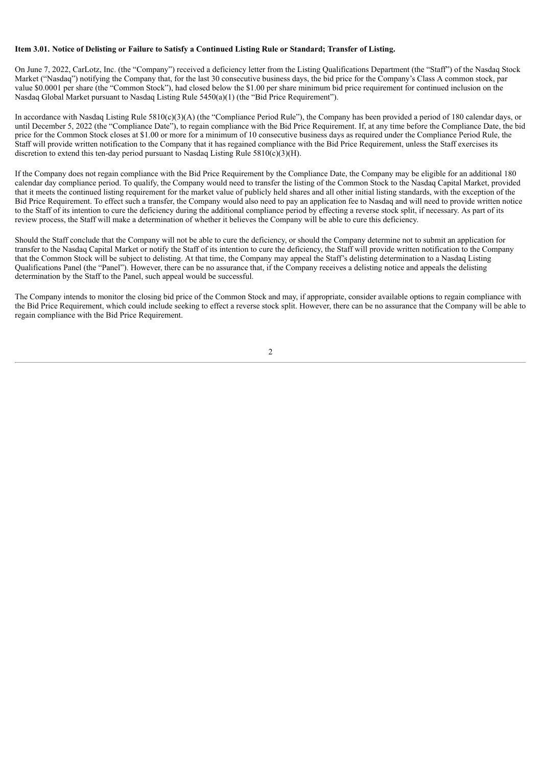#### Item 3.01. Notice of Delisting or Failure to Satisfy a Continued Listing Rule or Standard; Transfer of Listing.

On June 7, 2022, CarLotz, Inc. (the "Company") received a deficiency letter from the Listing Qualifications Department (the "Staff") of the Nasdaq Stock Market ("Nasdaq") notifying the Company that, for the last 30 consecutive business days, the bid price for the Company's Class A common stock, par value \$0.0001 per share (the "Common Stock"), had closed below the \$1.00 per share minimum bid price requirement for continued inclusion on the Nasdaq Global Market pursuant to Nasdaq Listing Rule 5450(a)(1) (the "Bid Price Requirement").

In accordance with Nasdaq Listing Rule 5810(c)(3)(A) (the "Compliance Period Rule"), the Company has been provided a period of 180 calendar days, or until December 5, 2022 (the "Compliance Date"), to regain compliance with the Bid Price Requirement. If, at any time before the Compliance Date, the bid price for the Common Stock closes at \$1.00 or more for a minimum of 10 consecutive business days as required under the Compliance Period Rule, the Staff will provide written notification to the Company that it has regained compliance with the Bid Price Requirement, unless the Staff exercises its discretion to extend this ten-day period pursuant to Nasdaq Listing Rule  $5810(c)(3)(H)$ .

If the Company does not regain compliance with the Bid Price Requirement by the Compliance Date, the Company may be eligible for an additional 180 calendar day compliance period. To qualify, the Company would need to transfer the listing of the Common Stock to the Nasdaq Capital Market, provided that it meets the continued listing requirement for the market value of publicly held shares and all other initial listing standards, with the exception of the Bid Price Requirement. To effect such a transfer, the Company would also need to pay an application fee to Nasdaq and will need to provide written notice to the Staff of its intention to cure the deficiency during the additional compliance period by effecting a reverse stock split, if necessary. As part of its review process, the Staff will make a determination of whether it believes the Company will be able to cure this deficiency.

Should the Staff conclude that the Company will not be able to cure the deficiency, or should the Company determine not to submit an application for transfer to the Nasdaq Capital Market or notify the Staff of its intention to cure the deficiency, the Staff will provide written notification to the Company that the Common Stock will be subject to delisting. At that time, the Company may appeal the Staff's delisting determination to a Nasdaq Listing Qualifications Panel (the "Panel"). However, there can be no assurance that, if the Company receives a delisting notice and appeals the delisting determination by the Staff to the Panel, such appeal would be successful.

The Company intends to monitor the closing bid price of the Common Stock and may, if appropriate, consider available options to regain compliance with the Bid Price Requirement, which could include seeking to effect a reverse stock split. However, there can be no assurance that the Company will be able to regain compliance with the Bid Price Requirement.

2